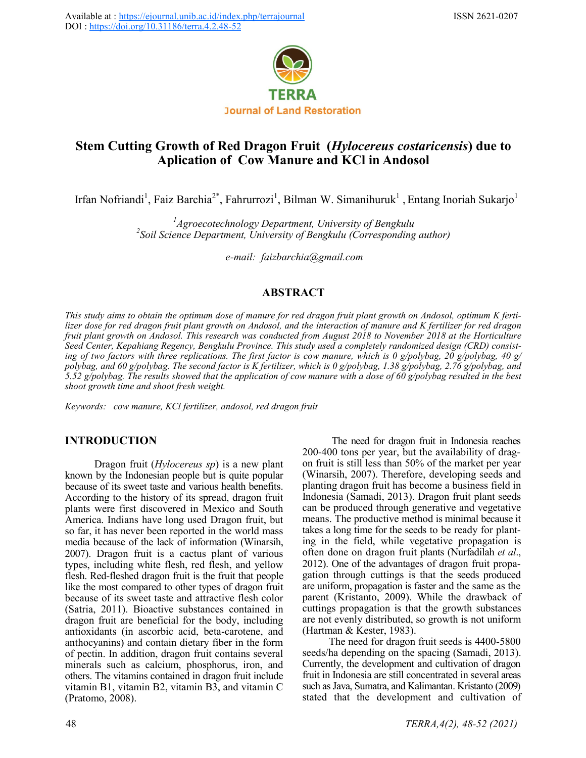

# **Stem Cutting Growth of Red Dragon Fruit (***Hylocereus costaricensis***) due to Aplication of Cow Manure and KCl in Andosol**

Irfan Nofriandi<sup>1</sup>, Faiz Barchia<sup>2\*</sup>, Fahrurrozi<sup>1</sup>, Bilman W. Simanihuruk<sup>1</sup>, Entang Inoriah Sukarjo<sup>1</sup>

*<sup>1</sup>Agroecotechnology Department, University of Bengkulu 2 Soil Science Department, University of Bengkulu (Corresponding author)*

*e-mail: faizbarchia@gmail.com*

## **ABSTRACT**

*This study aims to obtain the optimum dose of manure for red dragon fruit plant growth on Andosol, optimum K fertilizer dose for red dragon fruit plant growth on Andosol, and the interaction of manure and K fertilizer for red dragon fruit plant growth on Andosol. This research was conducted from August 2018 to November 2018 at the Horticulture Seed Center, Kepahiang Regency, Bengkulu Province. This study used a completely randomized design (CRD) consisting of two factors with three replications. The first factor is cow manure, which is 0 g/polybag, 20 g/polybag, 40 g/ polybag, and 60 g/polybag. The second factor is K fertilizer, which is 0 g/polybag, 1.38 g/polybag, 2.76 g/polybag, and 5.52 g/polybag. The results showed that the application of cow manure with a dose of 60 g/polybag resulted in the best shoot growth time and shoot fresh weight.*

*Keywords: cow manure, KCl fertilizer, andosol, red dragon fruit*

## **INTRODUCTION**

Dragon fruit (*Hylocereus sp*) is a new plant known by the Indonesian people but is quite popular because of its sweet taste and various health benefits. According to the history of its spread, dragon fruit plants were first discovered in Mexico and South America. Indians have long used Dragon fruit, but so far, it has never been reported in the world mass media because of the lack of information (Winarsih, 2007). Dragon fruit is a cactus plant of various types, including white flesh, red flesh, and yellow flesh. Red-fleshed dragon fruit is the fruit that people like the most compared to other types of dragon fruit because of its sweet taste and attractive flesh color (Satria, 2011). Bioactive substances contained in dragon fruit are beneficial for the body, including antioxidants (in ascorbic acid, beta-carotene, and anthocyanins) and contain dietary fiber in the form of pectin. In addition, dragon fruit contains several minerals such as calcium, phosphorus, iron, and others. The vitamins contained in dragon fruit include vitamin B1, vitamin B2, vitamin B3, and vitamin C (Pratomo, 2008).

The need for dragon fruit in Indonesia reaches 200-400 tons per year, but the availability of dragon fruit is still less than 50% of the market per year (Winarsih, 2007). Therefore, developing seeds and planting dragon fruit has become a business field in Indonesia (Samadi, 2013). Dragon fruit plant seeds can be produced through generative and vegetative means. The productive method is minimal because it takes a long time for the seeds to be ready for planting in the field, while vegetative propagation is often done on dragon fruit plants (Nurfadilah *et al*., 2012). One of the advantages of dragon fruit propagation through cuttings is that the seeds produced are uniform, propagation is faster and the same as the parent (Kristanto, 2009). While the drawback of cuttings propagation is that the growth substances are not evenly distributed, so growth is not uniform (Hartman & Kester, 1983).

The need for dragon fruit seeds is 4400-5800 seeds/ha depending on the spacing (Samadi, 2013). Currently, the development and cultivation of dragon fruit in Indonesia are still concentrated in several areas such as Java, Sumatra, and Kalimantan. Kristanto (2009) stated that the development and cultivation of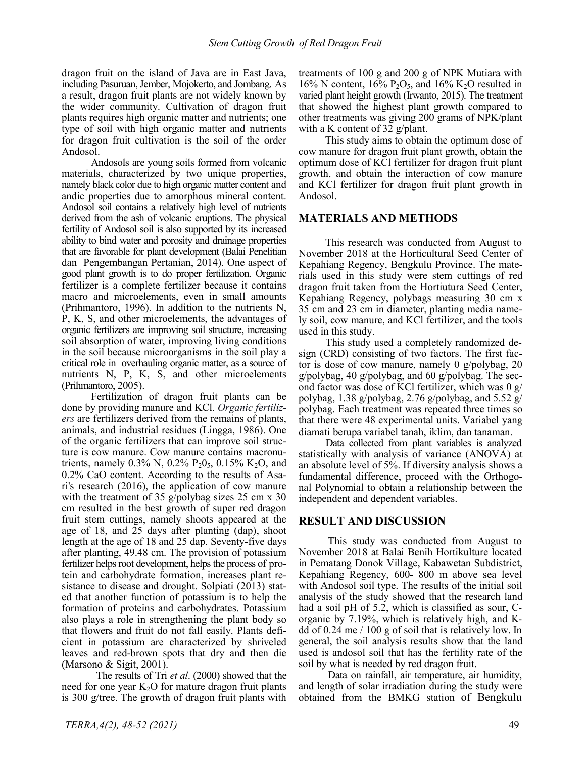dragon fruit on the island of Java are in East Java, including Pasuruan, Jember, Mojokerto, and Jombang. As a result, dragon fruit plants are not widely known by the wider community. Cultivation of dragon fruit plants requires high organic matter and nutrients; one type of soil with high organic matter and nutrients for dragon fruit cultivation is the soil of the order Andosol.

Andosols are young soils formed from volcanic materials, characterized by two unique properties, namely black color due to high organic matter content and andic properties due to amorphous mineral content. Andosol soil contains a relatively high level of nutrients derived from the ash of volcanic eruptions. The physical fertility of Andosol soil is also supported by its increased ability to bind water and porosity and drainage properties that are favorable for plant development (Balai Penelitian dan Pengembangan Pertanian, 2014). One aspect of good plant growth is to do proper fertilization. Organic fertilizer is a complete fertilizer because it contains macro and microelements, even in small amounts (Prihmantoro, 1996). In addition to the nutrients N, P, K, S, and other microelements, the advantages of organic fertilizers are improving soil structure, increasing soil absorption of water, improving living conditions in the soil because microorganisms in the soil play a critical role in overhauling organic matter, as a source of nutrients N, P, K, S, and other microelements (Prihmantoro, 2005).

Fertilization of dragon fruit plants can be done by providing manure and KCl. *Organic fertilizers* are fertilizers derived from the remains of plants, animals, and industrial residues (Lingga, 1986). One of the organic fertilizers that can improve soil structure is cow manure. Cow manure contains macronutrients, namely 0.3% N, 0.2% P<sub>2</sub>0<sub>5</sub>, 0.15% K<sub>2</sub>O, and 0.2% CaO content. According to the results of Asari's research (2016), the application of cow manure with the treatment of 35 g/polybag sizes 25 cm x 30 cm resulted in the best growth of super red dragon fruit stem cuttings, namely shoots appeared at the age of 18, and 25 days after planting (dap), shoot length at the age of 18 and 25 dap. Seventy-five days after planting, 49.48 cm. The provision of potassium fertilizer helps root development, helps the process of protein and carbohydrate formation, increases plant resistance to disease and drought. Solpiati (2013) stated that another function of potassium is to help the formation of proteins and carbohydrates. Potassium also plays a role in strengthening the plant body so that flowers and fruit do not fall easily. Plants deficient in potassium are characterized by shriveled leaves and red-brown spots that dry and then die (Marsono & Sigit, 2001).

The results of Tri *et al*. (2000) showed that the need for one year  $K_2O$  for mature dragon fruit plants is 300 g/tree. The growth of dragon fruit plants with

*TERRA,4(2), 48-52 (2021)* 49

treatments of 100 g and 200 g of NPK Mutiara with 16% N content,  $16\%$  P<sub>2</sub>O<sub>5</sub>, and  $16\%$  K<sub>2</sub>O resulted in varied plant height growth (Irwanto, 2015). The treatment that showed the highest plant growth compared to other treatments was giving 200 grams of NPK/plant with a K content of 32 g/plant.

This study aims to obtain the optimum dose of cow manure for dragon fruit plant growth, obtain the optimum dose of KCl fertilizer for dragon fruit plant growth, and obtain the interaction of cow manure and KCl fertilizer for dragon fruit plant growth in Andosol.

#### **MATERIALS AND METHODS**

This research was conducted from August to November 2018 at the Horticultural Seed Center of Kepahiang Regency, Bengkulu Province. The materials used in this study were stem cuttings of red dragon fruit taken from the Hortiutura Seed Center, Kepahiang Regency, polybags measuring 30 cm x 35 cm and 23 cm in diameter, planting media namely soil, cow manure, and KCl fertilizer, and the tools used in this study.

This study used a completely randomized design (CRD) consisting of two factors. The first factor is dose of cow manure, namely 0 g/polybag, 20 g/polybag, 40 g/polybag, and 60 g/polybag. The second factor was dose of KCl fertilizer, which was  $0 \frac{g}{g}$ polybag, 1.38 g/polybag, 2.76 g/polybag, and 5.52 g/ polybag. Each treatment was repeated three times so that there were 48 experimental units. Variabel yang diamati berupa variabel tanah, iklim, dan tanaman.

Data collected from plant variables is analyzed statistically with analysis of variance (ANOVA) at an absolute level of 5%. If diversity analysis shows a fundamental difference, proceed with the Orthogonal Polynomial to obtain a relationship between the independent and dependent variables.

#### **RESULT AND DISCUSSION**

This study was conducted from August to November 2018 at Balai Benih Hortikulture located in Pematang Donok Village, Kabawetan Subdistrict, Kepahiang Regency, 600- 800 m above sea level with Andosol soil type. The results of the initial soil analysis of the study showed that the research land had a soil pH of 5.2, which is classified as sour, Corganic by 7.19%, which is relatively high, and Kdd of 0.24 me / 100 g of soil that is relatively low. In general, the soil analysis results show that the land used is andosol soil that has the fertility rate of the soil by what is needed by red dragon fruit.

Data on rainfall, air temperature, air humidity, and length of solar irradiation during the study were obtained from the BMKG station of Bengkulu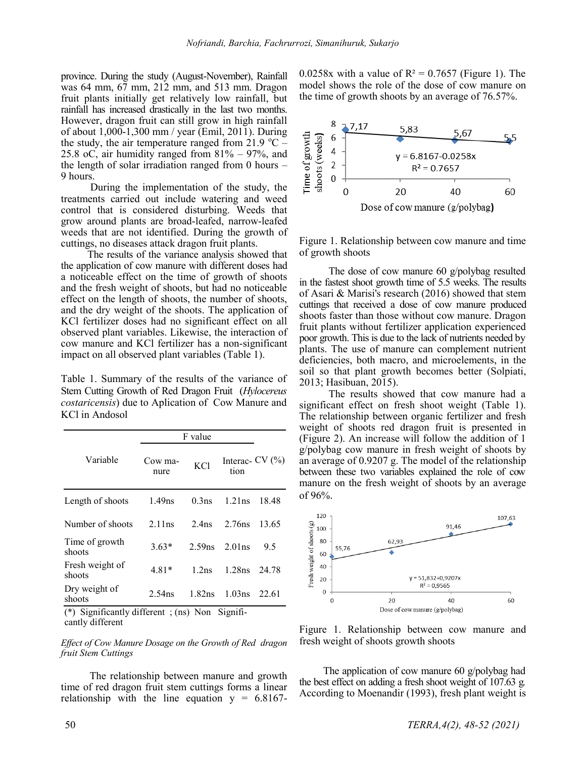province. During the study (August-November), Rainfall was 64 mm, 67 mm, 212 mm, and 513 mm. Dragon fruit plants initially get relatively low rainfall, but rainfall has increased drastically in the last two months. However, dragon fruit can still grow in high rainfall of about 1,000-1,300 mm / year (Emil, 2011). During the study, the air temperature ranged from 21.9  $^{\circ}$ C – 25.8 oC, air humidity ranged from  $81\% - 97\%$ , and the length of solar irradiation ranged from 0 hours  $-$ 9 hours.

During the implementation of the study, the treatments carried out include watering and weed control that is considered disturbing. Weeds that grow around plants are broad-leafed, narrow-leafed weeds that are not identified. During the growth of cuttings, no diseases attack dragon fruit plants.

The results of the variance analysis showed that the application of cow manure with different doses had a noticeable effect on the time of growth of shoots and the fresh weight of shoots, but had no noticeable effect on the length of shoots, the number of shoots, and the dry weight of the shoots. The application of KCl fertilizer doses had no significant effect on all observed plant variables. Likewise, the interaction of cow manure and KCl fertilizer has a non-significant impact on all observed plant variables (Table 1).

Table 1. Summary of the results of the variance of Stem Cutting Growth of Red Dragon Fruit (*Hylocereus costaricensis*) due to Aplication of Cow Manure and KCl in Andosol

|                           | F value            |                    |                    |                  |
|---------------------------|--------------------|--------------------|--------------------|------------------|
| Variable                  | Cow ma-<br>nure    | KCl                | tion               | Interac- $CV(%)$ |
| Length of shoots          | 1.49 <sub>ns</sub> | 0.3 <sub>ns</sub>  | $1.21$ ns          | 18.48            |
| Number of shoots          | 2.11ns             | 2.4 <sub>ns</sub>  | 2.76ns             | 13.65            |
| Time of growth<br>shoots  | $3.63*$            | 2.59 <sub>ns</sub> | $2.01$ ns          | 9.5              |
| Fresh weight of<br>shoots | $4.81*$            | 1.2ns              | 1.28ns             | 24.78            |
| Dry weight of<br>shoots   | 2.54 <sub>ns</sub> | 1.82ns             | 1.03 <sub>ns</sub> | 22.61            |

(\*) Significantly different ; (ns) Non Significantly different

*Effect of Cow Manure Dosage on the Growth of Red dragon fruit Stem Cuttings*

The relationship between manure and growth time of red dragon fruit stem cuttings forms a linear relationship with the line equation  $y = 6.8167$ - 0.0258x with a value of  $R^2 = 0.7657$  (Figure 1). The model shows the role of the dose of cow manure on the time of growth shoots by an average of 76.57%.



Figure 1. Relationship between cow manure and time of growth shoots

The dose of cow manure 60 g/polybag resulted in the fastest shoot growth time of 5.5 weeks. The results of Asari & Marisi's research (2016) showed that stem cuttings that received a dose of cow manure produced shoots faster than those without cow manure. Dragon fruit plants without fertilizer application experienced poor growth. This is due to the lack of nutrients needed by plants. The use of manure can complement nutrient deficiencies, both macro, and microelements, in the soil so that plant growth becomes better (Solpiati, 2013; Hasibuan, 2015).

The results showed that cow manure had a significant effect on fresh shoot weight (Table 1). The relationship between organic fertilizer and fresh weight of shoots red dragon fruit is presented in (Figure 2). An increase will follow the addition of 1 g/polybag cow manure in fresh weight of shoots by an average of 0.9207 g. The model of the relationship between these two variables explained the role of cow manure on the fresh weight of shoots by an average of 96%.



Figure 1. Relationship between cow manure and fresh weight of shoots growth shoots

The application of cow manure 60 g/polybag had the best effect on adding a fresh shoot weight of 107.63 g. According to Moenandir (1993), fresh plant weight is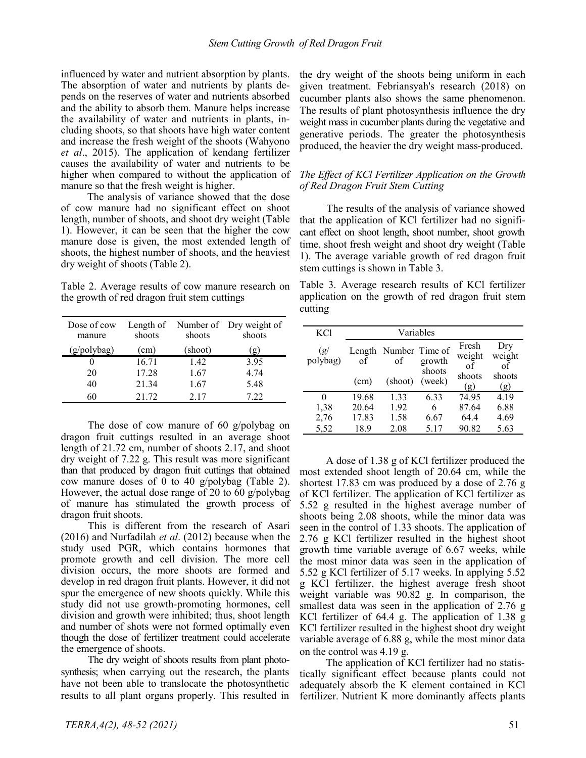influenced by water and nutrient absorption by plants. The absorption of water and nutrients by plants depends on the reserves of water and nutrients absorbed and the ability to absorb them. Manure helps increase the availability of water and nutrients in plants, including shoots, so that shoots have high water content and increase the fresh weight of the shoots (Wahyono *et al*., 2015). The application of kendang fertilizer causes the availability of water and nutrients to be higher when compared to without the application of manure so that the fresh weight is higher.

The analysis of variance showed that the dose of cow manure had no significant effect on shoot length, number of shoots, and shoot dry weight (Table 1). However, it can be seen that the higher the cow manure dose is given, the most extended length of shoots, the highest number of shoots, and the heaviest dry weight of shoots (Table 2).

Table 2. Average results of cow manure research on the growth of red dragon fruit stem cuttings

| Dose of cow<br>manure | Length of<br>shoots | shoots  | Number of Dry weight of<br>shoots |
|-----------------------|---------------------|---------|-----------------------------------|
| (g/polybag)           | (cm)                | (shoot) | (g)                               |
|                       | 16.71               | 1.42    | 3.95                              |
| 20                    | 17.28               | 1.67    | 4.74                              |
| 40                    | 21.34               | 1.67    | 5.48                              |
| 60                    | 21.72               | 2.17    | 7.22                              |

The dose of cow manure of 60 g/polybag on dragon fruit cuttings resulted in an average shoot length of 21.72 cm, number of shoots 2.17, and shoot dry weight of 7.22 g. This result was more significant than that produced by dragon fruit cuttings that obtained cow manure doses of 0 to 40 g/polybag (Table 2). However, the actual dose range of 20 to 60 g/polybag of manure has stimulated the growth process of dragon fruit shoots.

This is different from the research of Asari (2016) and Nurfadilah *et al*. (2012) because when the study used PGR, which contains hormones that promote growth and cell division. The more cell division occurs, the more shoots are formed and develop in red dragon fruit plants. However, it did not spur the emergence of new shoots quickly. While this study did not use growth-promoting hormones, cell division and growth were inhibited; thus, shoot length and number of shots were not formed optimally even though the dose of fertilizer treatment could accelerate the emergence of shoots.

The dry weight of shoots results from plant photosynthesis; when carrying out the research, the plants have not been able to translocate the photosynthetic results to all plant organs properly. This resulted in

#### *The Effect of KCl Fertilizer Application on the Growth of Red Dragon Fruit Stem Cutting*

The results of the analysis of variance showed that the application of KCl fertilizer had no significant effect on shoot length, shoot number, shoot growth time, shoot fresh weight and shoot dry weight (Table 1). The average variable growth of red dragon fruit stem cuttings is shown in Table 3.

Table 3. Average research results of KCl fertilizer application on the growth of red dragon fruit stem cutting

| <b>KCl</b>                        | Variables |                             |                  |                       |                     |  |
|-----------------------------------|-----------|-----------------------------|------------------|-----------------------|---------------------|--|
| $\left( \rho \right)$<br>polybag) | of        | Length Number Time of<br>of | growth<br>shoots | Fresh<br>weight<br>of | Dry<br>weight<br>of |  |
|                                   | (cm)      | (shoot)                     | (week)           | shoots<br>(g)         | shoots<br>(g)       |  |
| $\theta$                          | 19.68     | 1.33                        | 6.33             | 74.95                 | 4.19                |  |
| 1,38                              | 20.64     | 1.92                        | 6                | 87.64                 | 6.88                |  |
| 2,76                              | 17.83     | 1.58                        | 6.67             | 64.4                  | 4.69                |  |
| 5,52                              | 18.9      | 2.08                        | 5.17             | 90.82                 | 5.63                |  |

A dose of 1.38 g of KCl fertilizer produced the most extended shoot length of 20.64 cm, while the shortest 17.83 cm was produced by a dose of 2.76 g of KCl fertilizer. The application of KCl fertilizer as 5.52 g resulted in the highest average number of shoots being 2.08 shoots, while the minor data was seen in the control of 1.33 shoots. The application of 2.76 g KCl fertilizer resulted in the highest shoot growth time variable average of 6.67 weeks, while the most minor data was seen in the application of 5.52 g KCl fertilizer of 5.17 weeks. In applying 5.52 g KCl fertilizer, the highest average fresh shoot weight variable was 90.82 g. In comparison, the smallest data was seen in the application of 2.76 g KCl fertilizer of 64.4 g. The application of 1.38 g KCl fertilizer resulted in the highest shoot dry weight variable average of 6.88 g, while the most minor data on the control was 4.19 g.

The application of KCl fertilizer had no statistically significant effect because plants could not adequately absorb the K element contained in KCl fertilizer. Nutrient K more dominantly affects plants